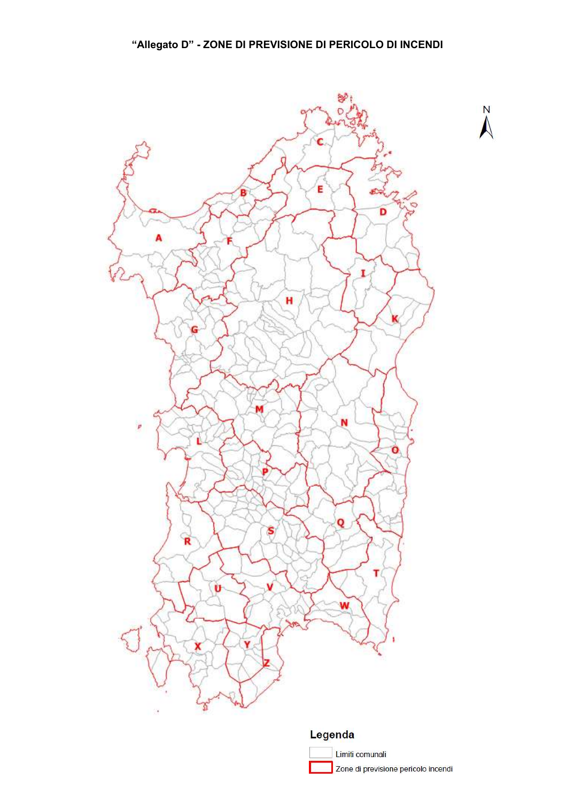

## Legenda

Limiti comunali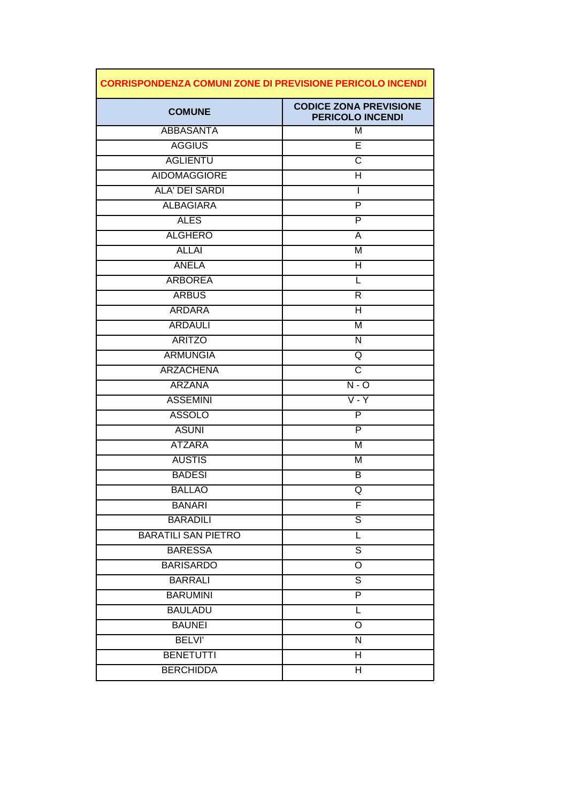| <b>CORRISPONDENZA COMUNI ZONE DI PREVISIONE PERICOLO INCENDI</b> |                                                          |
|------------------------------------------------------------------|----------------------------------------------------------|
| <b>COMUNE</b>                                                    | <b>CODICE ZONA PREVISIONE</b><br><b>PERICOLO INCENDI</b> |
| <b>ABBASANTA</b>                                                 | M                                                        |
| <b>AGGIUS</b>                                                    | E                                                        |
| <b>AGLIENTU</b>                                                  | $\overline{\text{c}}$                                    |
| <b>AIDOMAGGIORE</b>                                              | Η                                                        |
| <b>ALA' DEI SARDI</b>                                            | I                                                        |
| <b>ALBAGIARA</b>                                                 | P                                                        |
| <b>ALES</b>                                                      | P                                                        |
| <b>ALGHERO</b>                                                   | Α                                                        |
| <b>ALLAI</b>                                                     | M                                                        |
| <b>ANELA</b>                                                     | H                                                        |
| <b>ARBOREA</b>                                                   | L                                                        |
| <b>ARBUS</b>                                                     | R                                                        |
| <b>ARDARA</b>                                                    | H                                                        |
| <b>ARDAULI</b>                                                   | M                                                        |
| <b>ARITZO</b>                                                    | N                                                        |
| <b>ARMUNGIA</b>                                                  | Q                                                        |
| <b>ARZACHENA</b>                                                 | $\overline{\text{c}}$                                    |
| <b>ARZANA</b>                                                    | $N - O$                                                  |
| <b>ASSEMINI</b>                                                  | $\overline{V}$ - $\overline{Y}$                          |
| <b>ASSOLO</b>                                                    | P                                                        |
| <b>ASUNI</b>                                                     | $\overline{P}$                                           |
| <b>ATZARA</b>                                                    | M                                                        |
| <b>AUSTIS</b>                                                    | M                                                        |
| <b>BADESI</b>                                                    | В                                                        |
| <b>BALLAO</b>                                                    | Q                                                        |
| <b>BANARI</b>                                                    | F                                                        |
| <b>BARADILI</b>                                                  | S                                                        |
| <b>BARATILI SAN PIETRO</b>                                       | L                                                        |
| <b>BARESSA</b>                                                   | $\overline{\mathsf{s}}$                                  |
| <b>BARISARDO</b>                                                 | $\mathsf O$                                              |
| <b>BARRALI</b>                                                   | $\overline{s}$                                           |
| <b>BARUMINI</b>                                                  | $\overline{\mathsf{P}}$                                  |
| <b>BAULADU</b>                                                   | L                                                        |
| <b>BAUNEI</b>                                                    | O                                                        |
| <b>BELVI'</b>                                                    | N                                                        |
| <b>BENETUTTI</b>                                                 | Н                                                        |
| <b>BERCHIDDA</b>                                                 | $\overline{\mathsf{H}}$                                  |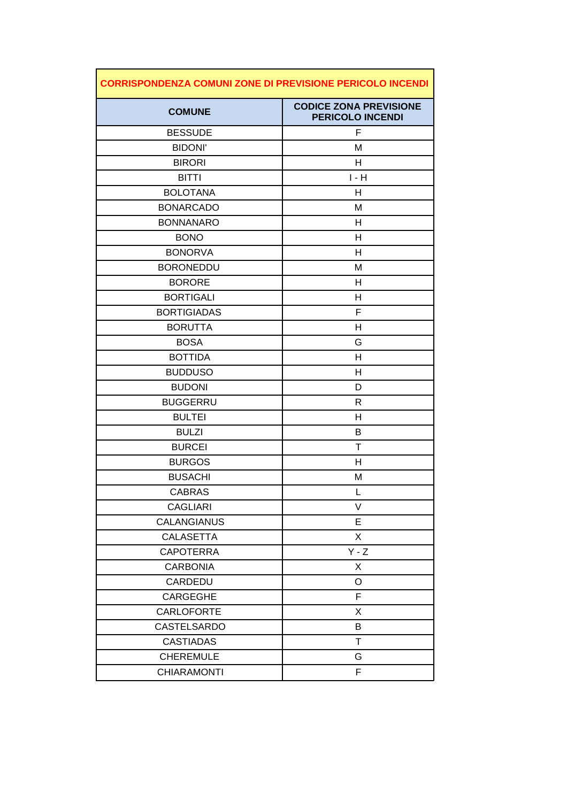| <b>CORRISPONDENZA COMUNI ZONE DI PREVISIONE PERICOLO INCENDI</b> |                                                          |
|------------------------------------------------------------------|----------------------------------------------------------|
| <b>COMUNE</b>                                                    | <b>CODICE ZONA PREVISIONE</b><br><b>PERICOLO INCENDI</b> |
| <b>BESSUDE</b>                                                   | F                                                        |
| <b>BIDONI'</b>                                                   | M                                                        |
| <b>BIRORI</b>                                                    | Н                                                        |
| <b>BITTI</b>                                                     | $I - H$                                                  |
| <b>BOLOTANA</b>                                                  | н                                                        |
| <b>BONARCADO</b>                                                 | M                                                        |
| <b>BONNANARO</b>                                                 | Н                                                        |
| <b>BONO</b>                                                      | Н                                                        |
| <b>BONORVA</b>                                                   | H                                                        |
| <b>BORONEDDU</b>                                                 | M                                                        |
| <b>BORORE</b>                                                    | Н                                                        |
| <b>BORTIGALI</b>                                                 | н                                                        |
| <b>BORTIGIADAS</b>                                               | F                                                        |
| <b>BORUTTA</b>                                                   | Н                                                        |
| <b>BOSA</b>                                                      | G                                                        |
| <b>BOTTIDA</b>                                                   | H                                                        |
| <b>BUDDUSO</b>                                                   | H                                                        |
| <b>BUDONI</b>                                                    | D                                                        |
| <b>BUGGERRU</b>                                                  | R                                                        |
| <b>BULTEI</b>                                                    | Н                                                        |
| <b>BULZI</b>                                                     | B                                                        |
| <b>BURCEI</b>                                                    | Τ                                                        |
| <b>BURGOS</b>                                                    | Н                                                        |
| <b>BUSACHI</b>                                                   | M                                                        |
| <b>CABRAS</b>                                                    | L                                                        |
| <b>CAGLIARI</b>                                                  | V                                                        |
| CALANGIANUS                                                      | E                                                        |
| <b>CALASETTA</b>                                                 | X                                                        |
| <b>CAPOTERRA</b>                                                 | $Y - Z$                                                  |
| <b>CARBONIA</b>                                                  | X                                                        |
| CARDEDU                                                          | O                                                        |
| CARGEGHE                                                         | F                                                        |
| <b>CARLOFORTE</b>                                                | Χ                                                        |
| CASTELSARDO                                                      | B                                                        |
| <b>CASTIADAS</b>                                                 | T                                                        |
| <b>CHEREMULE</b>                                                 | G                                                        |
| <b>CHIARAMONTI</b>                                               | F                                                        |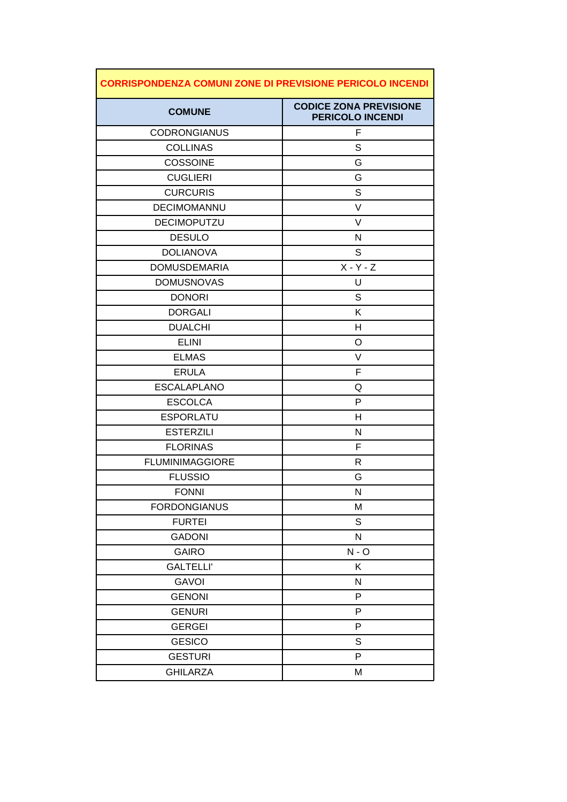| <b>CORRISPONDENZA COMUNI ZONE DI PREVISIONE PERICOLO INCENDI</b> |                                                          |
|------------------------------------------------------------------|----------------------------------------------------------|
| <b>COMUNE</b>                                                    | <b>CODICE ZONA PREVISIONE</b><br><b>PERICOLO INCENDI</b> |
| <b>CODRONGIANUS</b>                                              | F                                                        |
| <b>COLLINAS</b>                                                  | S                                                        |
| <b>COSSOINE</b>                                                  | G                                                        |
| <b>CUGLIERI</b>                                                  | G                                                        |
| <b>CURCURIS</b>                                                  | S                                                        |
| DECIMOMANNU                                                      | V                                                        |
| <b>DECIMOPUTZU</b>                                               | V                                                        |
| <b>DESULO</b>                                                    | N                                                        |
| <b>DOLIANOVA</b>                                                 | S                                                        |
| <b>DOMUSDEMARIA</b>                                              | $X - Y - Z$                                              |
| <b>DOMUSNOVAS</b>                                                | U                                                        |
| <b>DONORI</b>                                                    | S                                                        |
| <b>DORGALI</b>                                                   | Κ                                                        |
| <b>DUALCHI</b>                                                   | Н                                                        |
| <b>ELINI</b>                                                     | O                                                        |
| <b>ELMAS</b>                                                     | V                                                        |
| <b>ERULA</b>                                                     | F                                                        |
| <b>ESCALAPLANO</b>                                               | Q                                                        |
| <b>ESCOLCA</b>                                                   | P                                                        |
| <b>ESPORLATU</b>                                                 | Н                                                        |
| <b>ESTERZILI</b>                                                 | N                                                        |
| <b>FLORINAS</b>                                                  | F                                                        |
| <b>FLUMINIMAGGIORE</b>                                           | R                                                        |
| <b>FLUSSIO</b>                                                   | G                                                        |
| <b>FONNI</b>                                                     | N                                                        |
| <b>FORDONGIANUS</b>                                              | M                                                        |
| <b>FURTEI</b>                                                    | S                                                        |
| <b>GADONI</b>                                                    | N                                                        |
| <b>GAIRO</b>                                                     | $N - O$                                                  |
| <b>GALTELLI'</b>                                                 | Κ                                                        |
| <b>GAVOI</b>                                                     | N                                                        |
| <b>GENONI</b>                                                    | P                                                        |
| <b>GENURI</b>                                                    | P                                                        |
| <b>GERGEI</b>                                                    | P                                                        |
| <b>GESICO</b>                                                    | S                                                        |
| <b>GESTURI</b>                                                   | P                                                        |
| <b>GHILARZA</b>                                                  | M                                                        |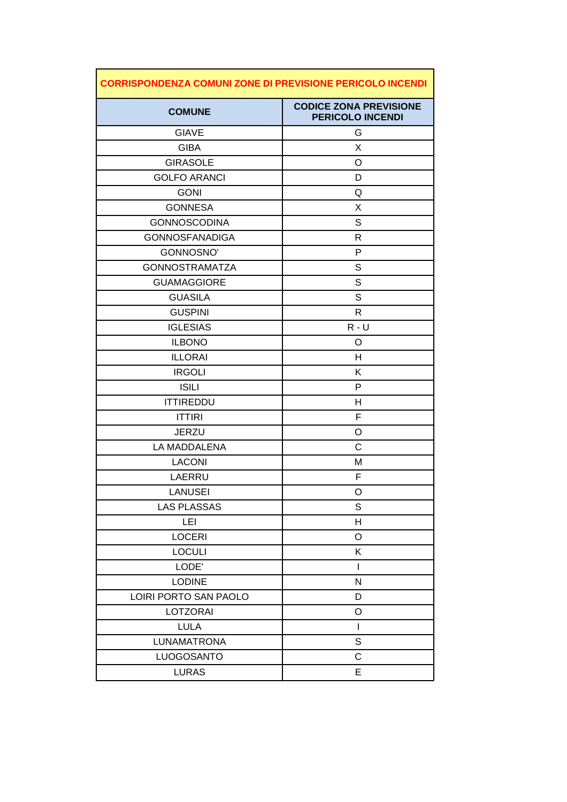| <b>CORRISPONDENZA COMUNI ZONE DI PREVISIONE PERICOLO INCENDI</b> |                                                          |
|------------------------------------------------------------------|----------------------------------------------------------|
| <b>COMUNE</b>                                                    | <b>CODICE ZONA PREVISIONE</b><br><b>PERICOLO INCENDI</b> |
| <b>GIAVE</b>                                                     | G                                                        |
| <b>GIBA</b>                                                      | X                                                        |
| <b>GIRASOLE</b>                                                  | O                                                        |
| <b>GOLFO ARANCI</b>                                              | D                                                        |
| <b>GONI</b>                                                      | Q                                                        |
| <b>GONNESA</b>                                                   | X                                                        |
| <b>GONNOSCODINA</b>                                              | S                                                        |
| <b>GONNOSFANADIGA</b>                                            | R                                                        |
| GONNOSNO'                                                        | P                                                        |
| <b>GONNOSTRAMATZA</b>                                            | S                                                        |
| <b>GUAMAGGIORE</b>                                               | S                                                        |
| <b>GUASILA</b>                                                   | S                                                        |
| <b>GUSPINI</b>                                                   | R                                                        |
| <b>IGLESIAS</b>                                                  | $R - U$                                                  |
| <b>ILBONO</b>                                                    | O                                                        |
| <b>ILLORAI</b>                                                   | H                                                        |
| <b>IRGOLI</b>                                                    | Κ                                                        |
| <b>ISILI</b>                                                     | P                                                        |
| <b>ITTIREDDU</b>                                                 | н                                                        |
| <b>ITTIRI</b>                                                    | F                                                        |
| <b>JERZU</b>                                                     | O                                                        |
| LA MADDALENA                                                     | C                                                        |
| <b>LACONI</b>                                                    | M                                                        |
| LAERRU                                                           | F                                                        |
| LANUSEI                                                          | O                                                        |
| <b>LAS PLASSAS</b>                                               | S                                                        |
| LEI                                                              | Н                                                        |
| <b>LOCERI</b>                                                    | O                                                        |
| <b>LOCULI</b>                                                    | Κ                                                        |
| LODE'                                                            | T                                                        |
| <b>LODINE</b>                                                    | N                                                        |
| LOIRI PORTO SAN PAOLO                                            | D                                                        |
| <b>LOTZORAI</b>                                                  | O                                                        |
| <b>LULA</b>                                                      | L                                                        |
| <b>LUNAMATRONA</b>                                               | S                                                        |
| LUOGOSANTO                                                       | C                                                        |
| <b>LURAS</b>                                                     | E                                                        |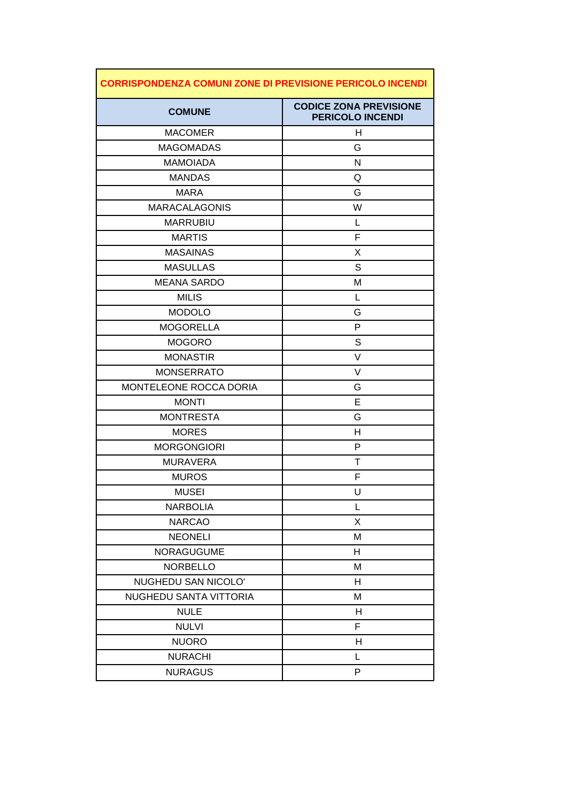| <b>CORRISPONDENZA COMUNI ZONE DI PREVISIONE PERICOLO INCENDI</b> |                                                          |
|------------------------------------------------------------------|----------------------------------------------------------|
| <b>COMUNE</b>                                                    | <b>CODICE ZONA PREVISIONE</b><br><b>PERICOLO INCENDI</b> |
| <b>MACOMER</b>                                                   | Н                                                        |
| <b>MAGOMADAS</b>                                                 | G                                                        |
| <b>MAMOIADA</b>                                                  | N                                                        |
| <b>MANDAS</b>                                                    | Q                                                        |
| <b>MARA</b>                                                      | G                                                        |
| <b>MARACALAGONIS</b>                                             | W                                                        |
| <b>MARRUBIU</b>                                                  | L                                                        |
| <b>MARTIS</b>                                                    | F                                                        |
| <b>MASAINAS</b>                                                  | X                                                        |
| <b>MASULLAS</b>                                                  | S                                                        |
| <b>MEANA SARDO</b>                                               | М                                                        |
| <b>MILIS</b>                                                     | L                                                        |
| <b>MODOLO</b>                                                    | G                                                        |
| <b>MOGORELLA</b>                                                 | P                                                        |
| <b>MOGORO</b>                                                    | S                                                        |
| <b>MONASTIR</b>                                                  | V                                                        |
| <b>MONSERRATO</b>                                                | V                                                        |
| MONTELEONE ROCCA DORIA                                           | G                                                        |
| <b>MONTI</b>                                                     | E                                                        |
| <b>MONTRESTA</b>                                                 | G                                                        |
| <b>MORES</b>                                                     | Н                                                        |
| <b>MORGONGIORI</b>                                               | P                                                        |
| <b>MURAVERA</b>                                                  | т                                                        |
| <b>MUROS</b>                                                     | F                                                        |
| <b>MUSEI</b>                                                     | U                                                        |
| <b>NARBOLIA</b>                                                  | L                                                        |
| <b>NARCAO</b>                                                    | X                                                        |
| <b>NEONELI</b>                                                   | M                                                        |
| <b>NORAGUGUME</b>                                                | Н                                                        |
| <b>NORBELLO</b>                                                  | M                                                        |
| NUGHEDU SAN NICOLO'                                              | H                                                        |
| NUGHEDU SANTA VITTORIA                                           | M                                                        |
| <b>NULE</b>                                                      | H                                                        |
| <b>NULVI</b>                                                     | F                                                        |
| <b>NUORO</b>                                                     | Н                                                        |
| <b>NURACHI</b>                                                   | L                                                        |
| <b>NURAGUS</b>                                                   | P                                                        |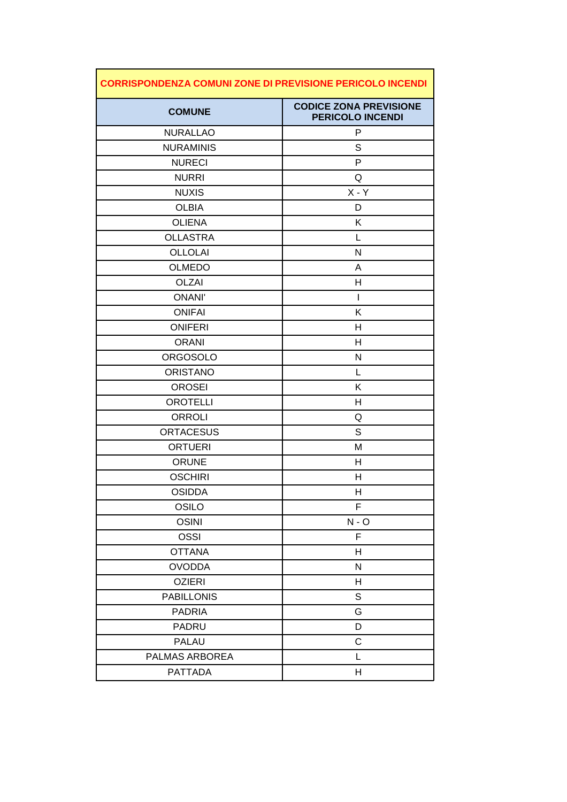| <b>CORRISPONDENZA COMUNI ZONE DI PREVISIONE PERICOLO INCENDI</b> |                                                          |
|------------------------------------------------------------------|----------------------------------------------------------|
| <b>COMUNE</b>                                                    | <b>CODICE ZONA PREVISIONE</b><br><b>PERICOLO INCENDI</b> |
| <b>NURALLAO</b>                                                  | P                                                        |
| <b>NURAMINIS</b>                                                 | S                                                        |
| <b>NURECI</b>                                                    | P                                                        |
| <b>NURRI</b>                                                     | Q                                                        |
| <b>NUXIS</b>                                                     | $X - Y$                                                  |
| <b>OLBIA</b>                                                     | D                                                        |
| <b>OLIENA</b>                                                    | Κ                                                        |
| <b>OLLASTRA</b>                                                  | L                                                        |
| <b>OLLOLAI</b>                                                   | N                                                        |
| <b>OLMEDO</b>                                                    | A                                                        |
| <b>OLZAI</b>                                                     | н                                                        |
| <b>ONANI'</b>                                                    | $\mathbf{I}$                                             |
| <b>ONIFAI</b>                                                    | Κ                                                        |
| <b>ONIFERI</b>                                                   | Н                                                        |
| <b>ORANI</b>                                                     | н                                                        |
| <b>ORGOSOLO</b>                                                  | N                                                        |
| <b>ORISTANO</b>                                                  | L                                                        |
| <b>OROSEI</b>                                                    | K                                                        |
| <b>OROTELLI</b>                                                  | Н                                                        |
| <b>ORROLI</b>                                                    | Q                                                        |
| <b>ORTACESUS</b>                                                 | S                                                        |
| <b>ORTUERI</b>                                                   | Μ                                                        |
| <b>ORUNE</b>                                                     | н                                                        |
| <b>OSCHIRI</b>                                                   | H                                                        |
| <b>OSIDDA</b>                                                    | H                                                        |
| <b>OSILO</b>                                                     | F                                                        |
| <b>OSINI</b>                                                     | $N - O$                                                  |
| OSSI                                                             | F                                                        |
| <b>OTTANA</b>                                                    | Н                                                        |
| <b>OVODDA</b>                                                    | ${\sf N}$                                                |
| <b>OZIERI</b>                                                    | Н                                                        |
| <b>PABILLONIS</b>                                                | $\mathbb S$                                              |
| <b>PADRIA</b>                                                    | G                                                        |
| PADRU                                                            | D                                                        |
| <b>PALAU</b>                                                     | $\mathsf C$                                              |
| PALMAS ARBOREA                                                   | L                                                        |
| <b>PATTADA</b>                                                   | Н                                                        |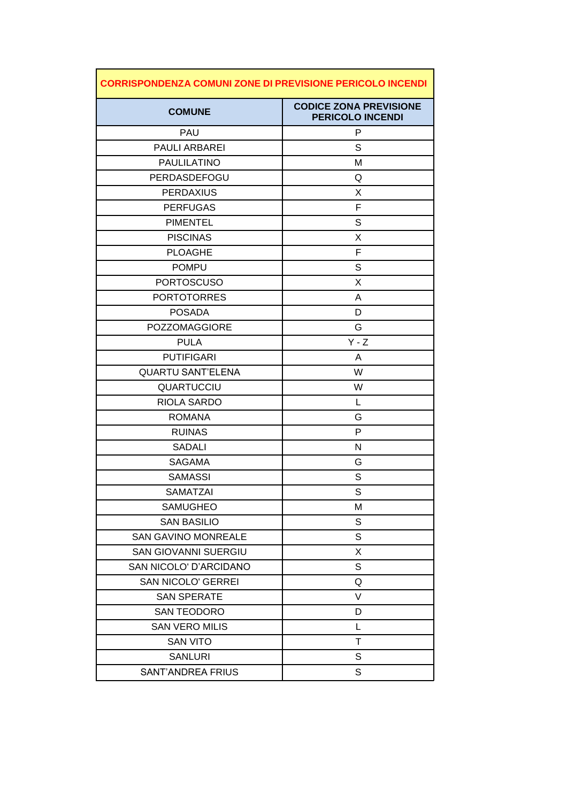| <b>CORRISPONDENZA COMUNI ZONE DI PREVISIONE PERICOLO INCENDI</b> |                                                          |
|------------------------------------------------------------------|----------------------------------------------------------|
| <b>COMUNE</b>                                                    | <b>CODICE ZONA PREVISIONE</b><br><b>PERICOLO INCENDI</b> |
| PAU                                                              | P                                                        |
| PAULI ARBAREI                                                    | S                                                        |
| <b>PAULILATINO</b>                                               | Μ                                                        |
| PERDASDEFOGU                                                     | Q                                                        |
| <b>PERDAXIUS</b>                                                 | X                                                        |
| <b>PERFUGAS</b>                                                  | F                                                        |
| <b>PIMENTEL</b>                                                  | S                                                        |
| <b>PISCINAS</b>                                                  | X                                                        |
| <b>PLOAGHE</b>                                                   | F                                                        |
| <b>POMPU</b>                                                     | S                                                        |
| <b>PORTOSCUSO</b>                                                | Χ                                                        |
| <b>PORTOTORRES</b>                                               | A                                                        |
| <b>POSADA</b>                                                    | D                                                        |
| <b>POZZOMAGGIORE</b>                                             | G                                                        |
| <b>PULA</b>                                                      | $Y - Z$                                                  |
| <b>PUTIFIGARI</b>                                                | A                                                        |
| <b>QUARTU SANT'ELENA</b>                                         | W                                                        |
| <b>QUARTUCCIU</b>                                                | W                                                        |
| RIOLA SARDO                                                      | L                                                        |
| <b>ROMANA</b>                                                    | G                                                        |
| <b>RUINAS</b>                                                    | P                                                        |
| <b>SADALI</b>                                                    | N                                                        |
| <b>SAGAMA</b>                                                    | G                                                        |
| <b>SAMASSI</b>                                                   | S                                                        |
| SAMATZAI                                                         | S                                                        |
| <b>SAMUGHEO</b>                                                  | М                                                        |
| <b>SAN BASILIO</b>                                               | S                                                        |
| <b>SAN GAVINO MONREALE</b>                                       | S                                                        |
| <b>SAN GIOVANNI SUERGIU</b>                                      | X                                                        |
| SAN NICOLO' D'ARCIDANO                                           | S                                                        |
| <b>SAN NICOLO' GERREI</b>                                        | Q                                                        |
| <b>SAN SPERATE</b>                                               | V                                                        |
| <b>SAN TEODORO</b>                                               | D                                                        |
| <b>SAN VERO MILIS</b>                                            | L                                                        |
| <b>SAN VITO</b>                                                  | Τ                                                        |
| <b>SANLURI</b>                                                   | S                                                        |
| <b>SANT'ANDREA FRIUS</b>                                         | S                                                        |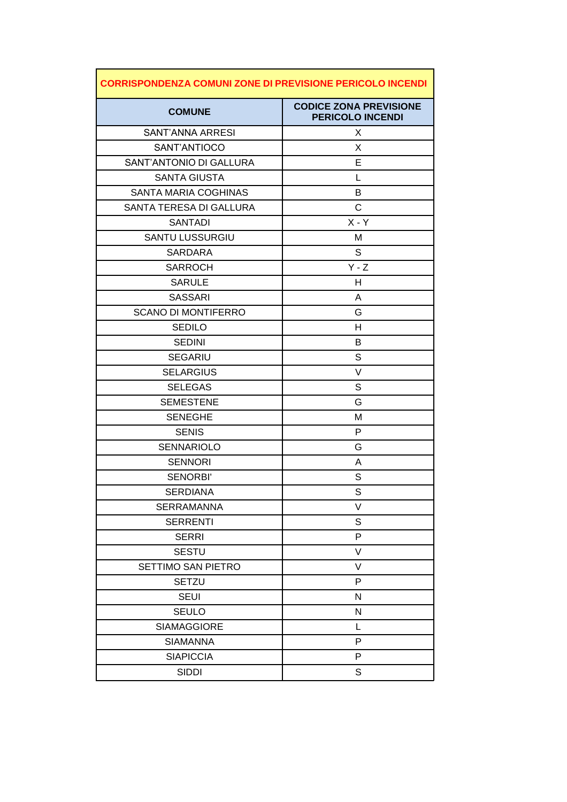| <b>CORRISPONDENZA COMUNI ZONE DI PREVISIONE PERICOLO INCENDI</b> |                                                          |
|------------------------------------------------------------------|----------------------------------------------------------|
| <b>COMUNE</b>                                                    | <b>CODICE ZONA PREVISIONE</b><br><b>PERICOLO INCENDI</b> |
| SANT'ANNA ARRESI                                                 | X                                                        |
| SANT'ANTIOCO                                                     | X                                                        |
| SANT'ANTONIO DI GALLURA                                          | Е                                                        |
| <b>SANTA GIUSTA</b>                                              | L                                                        |
| <b>SANTA MARIA COGHINAS</b>                                      | B                                                        |
| SANTA TERESA DI GALLURA                                          | C                                                        |
| <b>SANTADI</b>                                                   | $X - Y$                                                  |
| <b>SANTU LUSSURGIU</b>                                           | Μ                                                        |
| <b>SARDARA</b>                                                   | S                                                        |
| <b>SARROCH</b>                                                   | $Y - Z$                                                  |
| <b>SARULE</b>                                                    | H                                                        |
| <b>SASSARI</b>                                                   | A                                                        |
| <b>SCANO DI MONTIFERRO</b>                                       | G                                                        |
| <b>SEDILO</b>                                                    | H                                                        |
| <b>SEDINI</b>                                                    | B                                                        |
| <b>SEGARIU</b>                                                   | S                                                        |
| <b>SELARGIUS</b>                                                 | V                                                        |
| <b>SELEGAS</b>                                                   | S                                                        |
| <b>SEMESTENE</b>                                                 | G                                                        |
| <b>SENEGHE</b>                                                   | Μ                                                        |
| <b>SENIS</b>                                                     | P                                                        |
| <b>SENNARIOLO</b>                                                | G                                                        |
| <b>SENNORI</b>                                                   | A                                                        |
| <b>SENORBI'</b>                                                  | S                                                        |
| <b>SERDIANA</b>                                                  | S                                                        |
| <b>SERRAMANNA</b>                                                | V                                                        |
| <b>SERRENTI</b>                                                  | S                                                        |
| <b>SERRI</b>                                                     | P                                                        |
| <b>SESTU</b>                                                     | V                                                        |
| SETTIMO SAN PIETRO                                               | V                                                        |
| <b>SETZU</b>                                                     | P                                                        |
| <b>SEUI</b>                                                      | N                                                        |
| <b>SEULO</b>                                                     | ${\sf N}$                                                |
| <b>SIAMAGGIORE</b>                                               | L                                                        |
| <b>SIAMANNA</b>                                                  | P                                                        |
| <b>SIAPICCIA</b>                                                 | P                                                        |
| <b>SIDDI</b>                                                     | S                                                        |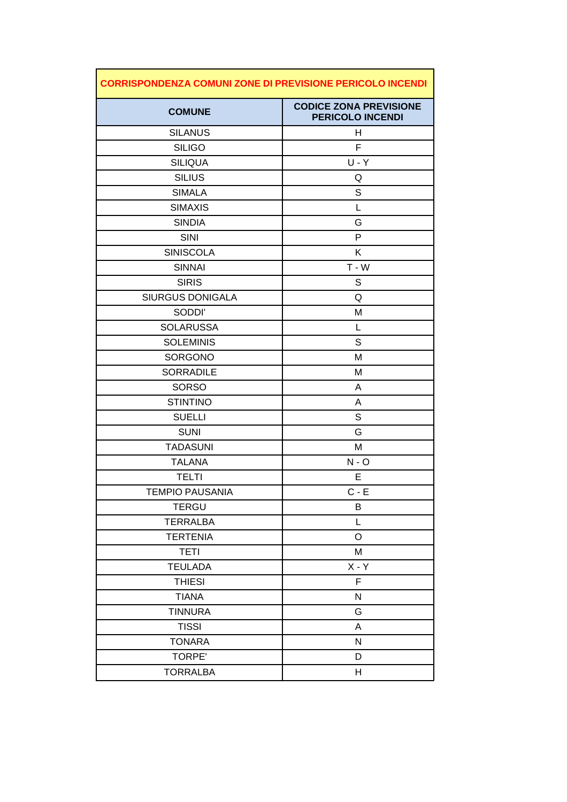| <b>CORRISPONDENZA COMUNI ZONE DI PREVISIONE PERICOLO INCENDI</b> |                                                          |
|------------------------------------------------------------------|----------------------------------------------------------|
| <b>COMUNE</b>                                                    | <b>CODICE ZONA PREVISIONE</b><br><b>PERICOLO INCENDI</b> |
| <b>SILANUS</b>                                                   | H                                                        |
| <b>SILIGO</b>                                                    | F                                                        |
| <b>SILIQUA</b>                                                   | $U - Y$                                                  |
| <b>SILIUS</b>                                                    | Q                                                        |
| <b>SIMALA</b>                                                    | S                                                        |
| <b>SIMAXIS</b>                                                   | L                                                        |
| <b>SINDIA</b>                                                    | G                                                        |
| <b>SINI</b>                                                      | P                                                        |
| <b>SINISCOLA</b>                                                 | Κ                                                        |
| <b>SINNAI</b>                                                    | $T - W$                                                  |
| <b>SIRIS</b>                                                     | S                                                        |
| <b>SIURGUS DONIGALA</b>                                          | Q                                                        |
| SODDI'                                                           | M                                                        |
| <b>SOLARUSSA</b>                                                 | L                                                        |
| <b>SOLEMINIS</b>                                                 | S                                                        |
| <b>SORGONO</b>                                                   | Μ                                                        |
| <b>SORRADILE</b>                                                 | Μ                                                        |
| <b>SORSO</b>                                                     | A                                                        |
| <b>STINTINO</b>                                                  | A                                                        |
| <b>SUELLI</b>                                                    | S                                                        |
| <b>SUNI</b>                                                      | G                                                        |
| <b>TADASUNI</b>                                                  | Μ                                                        |
| <b>TALANA</b>                                                    | $N - O$                                                  |
| <b>TELTI</b>                                                     | Е                                                        |
| <b>TEMPIO PAUSANIA</b>                                           | $C - E$                                                  |
| <b>TERGU</b>                                                     | B                                                        |
| <b>TERRALBA</b>                                                  | L                                                        |
| <b>TERTENIA</b>                                                  | O                                                        |
| <b>TETI</b>                                                      | M                                                        |
| <b>TEULADA</b>                                                   | $X - Y$                                                  |
| <b>THIESI</b>                                                    | F                                                        |
| <b>TIANA</b>                                                     | N                                                        |
| <b>TINNURA</b>                                                   | G                                                        |
| <b>TISSI</b>                                                     | A                                                        |
| <b>TONARA</b>                                                    | ${\sf N}$                                                |
| <b>TORPE'</b>                                                    | D                                                        |
| <b>TORRALBA</b>                                                  | Н                                                        |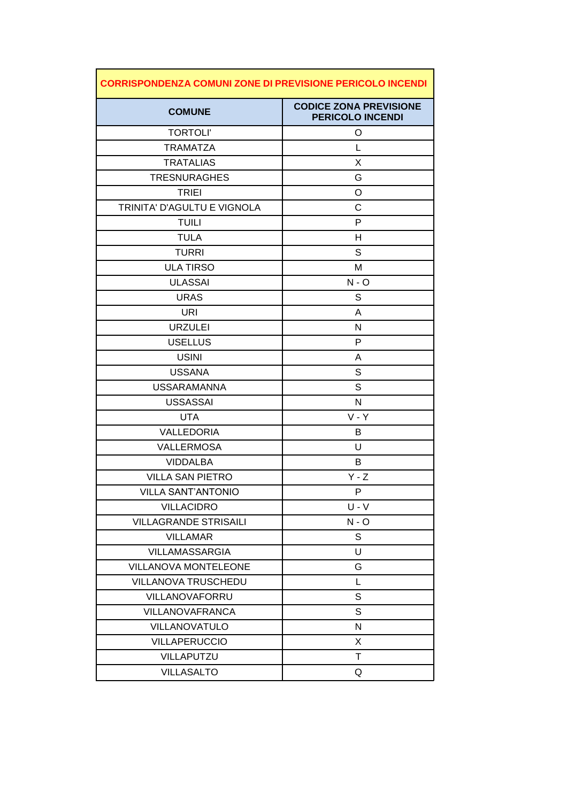| <b>CORRISPONDENZA COMUNI ZONE DI PREVISIONE PERICOLO INCENDI</b> |                                                          |
|------------------------------------------------------------------|----------------------------------------------------------|
| <b>COMUNE</b>                                                    | <b>CODICE ZONA PREVISIONE</b><br><b>PERICOLO INCENDI</b> |
| <b>TORTOLI'</b>                                                  | O                                                        |
| <b>TRAMATZA</b>                                                  | L                                                        |
| <b>TRATALIAS</b>                                                 | X                                                        |
| <b>TRESNURAGHES</b>                                              | G                                                        |
| <b>TRIEI</b>                                                     | O                                                        |
| TRINITA' D'AGULTU E VIGNOLA                                      | C                                                        |
| <b>TUILI</b>                                                     | P                                                        |
| <b>TULA</b>                                                      | н                                                        |
| <b>TURRI</b>                                                     | S                                                        |
| <b>ULA TIRSO</b>                                                 | M                                                        |
| <b>ULASSAI</b>                                                   | $N - O$                                                  |
| <b>URAS</b>                                                      | S                                                        |
| URI                                                              | A                                                        |
| <b>URZULEI</b>                                                   | N                                                        |
| <b>USELLUS</b>                                                   | P                                                        |
| <b>USINI</b>                                                     | A                                                        |
| <b>USSANA</b>                                                    | S                                                        |
| <b>USSARAMANNA</b>                                               | S                                                        |
| <b>USSASSAI</b>                                                  | $\mathsf{N}$                                             |
| <b>UTA</b>                                                       | $V - Y$                                                  |
| VALLEDORIA                                                       | B                                                        |
| <b>VALLERMOSA</b>                                                | U                                                        |
| <b>VIDDALBA</b>                                                  | В                                                        |
| <b>VILLA SAN PIETRO</b>                                          | $Y - Z$                                                  |
| <b>VILLA SANT'ANTONIO</b>                                        | Ρ                                                        |
| <b>VILLACIDRO</b>                                                | $U - V$                                                  |
| <b>VILLAGRANDE STRISAILI</b>                                     | $N - O$                                                  |
| <b>VILLAMAR</b>                                                  | S                                                        |
| <b>VILLAMASSARGIA</b>                                            | U                                                        |
| <b>VILLANOVA MONTELEONE</b>                                      | G                                                        |
| VILLANOVA TRUSCHEDU                                              | L                                                        |
| <b>VILLANOVAFORRU</b>                                            | S                                                        |
| <b>VILLANOVAFRANCA</b>                                           | S                                                        |
| VILLANOVATULO                                                    | N                                                        |
| <b>VILLAPERUCCIO</b>                                             | X                                                        |
| <b>VILLAPUTZU</b>                                                | Τ                                                        |
| <b>VILLASALTO</b>                                                | Q                                                        |